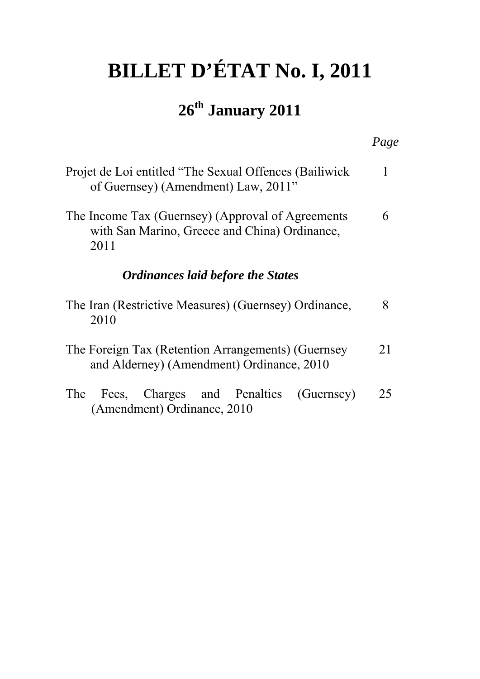# **BILLET D'ÉTAT No. I, 2011**

# **26th January 2011**

|                                                                                                            | Page |
|------------------------------------------------------------------------------------------------------------|------|
| Projet de Loi entitled "The Sexual Offences (Bailiwick<br>of Guernsey) (Amendment) Law, 2011"              | 1    |
| The Income Tax (Guernsey) (Approval of Agreements<br>with San Marino, Greece and China) Ordinance,<br>2011 | 6    |
| <b>Ordinances laid before the States</b>                                                                   |      |
| The Iran (Restrictive Measures) (Guernsey) Ordinance,<br>2010                                              | 8    |
| The Foreign Tax (Retention Arrangements) (Guernsey<br>and Alderney) (Amendment) Ordinance, 2010            | 21   |
| Fees, Charges and Penalties<br>The<br>(Guernsey)<br>(Amendment) Ordinance, 2010                            | 25   |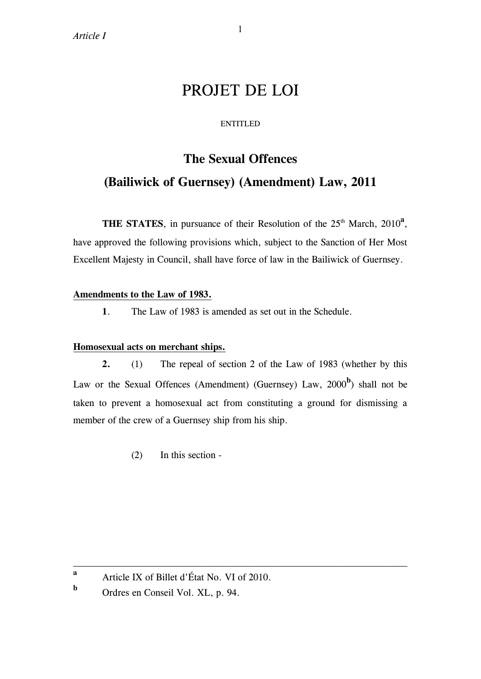# PROJET DE LOI

#### ENTITLED

# **The Sexual Offences (Bailiwick of Guernsey) (Amendment) Law, 2011**

**THE STATES**, in pursuance of their Resolution of the  $25<sup>th</sup>$  March,  $2010<sup>a</sup>$ , have approved the following provisions which, subject to the Sanction of Her Most Excellent Majesty in Council, shall have force of law in the Bailiwick of Guernsey.

### **Amendments to the Law of 1983.**

**1**. The Law of 1983 is amended as set out in the Schedule.

### **Homosexual acts on merchant ships.**

**2.** (1) The repeal of section 2 of the Law of 1983 (whether by this Law or the Sexual Offences (Amendment) (Guernsey) Law, 2000<sup>b</sup>) shall not be taken to prevent a homosexual act from constituting a ground for dismissing a member of the crew of a Guernsey ship from his ship.

\_\_\_\_\_\_\_\_\_\_\_\_\_\_\_\_\_\_\_\_\_\_\_\_\_\_\_\_\_\_\_\_\_\_\_\_\_\_\_\_\_\_\_\_\_\_\_\_\_\_\_\_\_\_\_\_\_\_\_\_\_\_\_\_\_\_\_\_\_

(2) In this section -

**b** Ordres en Conseil Vol. XL, p. 94.

**a** Article IX of Billet d'État No. VI of 2010.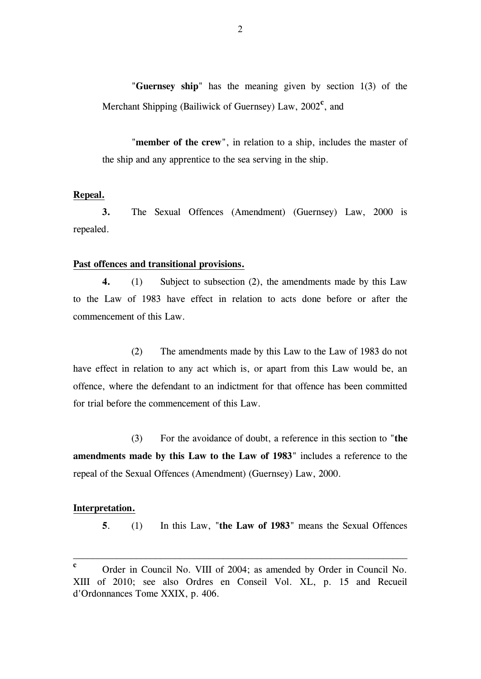"**Guernsey ship**" has the meaning given by section 1(3) of the Merchant Shipping (Bailiwick of Guernsey) Law, 2002<sup>c</sup>, and

 "**member of the crew**", in relation to a ship, includes the master of the ship and any apprentice to the sea serving in the ship.

#### **Repeal.**

**3.** The Sexual Offences (Amendment) (Guernsey) Law, 2000 is repealed.

#### **Past offences and transitional provisions.**

**4.** (1) Subject to subsection (2), the amendments made by this Law to the Law of 1983 have effect in relation to acts done before or after the commencement of this Law.

 (2) The amendments made by this Law to the Law of 1983 do not have effect in relation to any act which is, or apart from this Law would be, an offence, where the defendant to an indictment for that offence has been committed for trial before the commencement of this Law.

 (3) For the avoidance of doubt, a reference in this section to "**the amendments made by this Law to the Law of 1983**" includes a reference to the repeal of the Sexual Offences (Amendment) (Guernsey) Law, 2000.

#### **Interpretation.**

 **5**. (1) In this Law, "**the Law of 1983**" means the Sexual Offences

\_\_\_\_\_\_\_\_\_\_\_\_\_\_\_\_\_\_\_\_\_\_\_\_\_\_\_\_\_\_\_\_\_\_\_\_\_\_\_\_\_\_\_\_\_\_\_\_\_\_\_\_\_\_\_\_\_\_\_\_\_\_\_\_\_\_\_\_\_

**c** Order in Council No. VIII of 2004; as amended by Order in Council No. XIII of 2010; see also Ordres en Conseil Vol. XL, p. 15 and Recueil d'Ordonnances Tome XXIX, p. 406.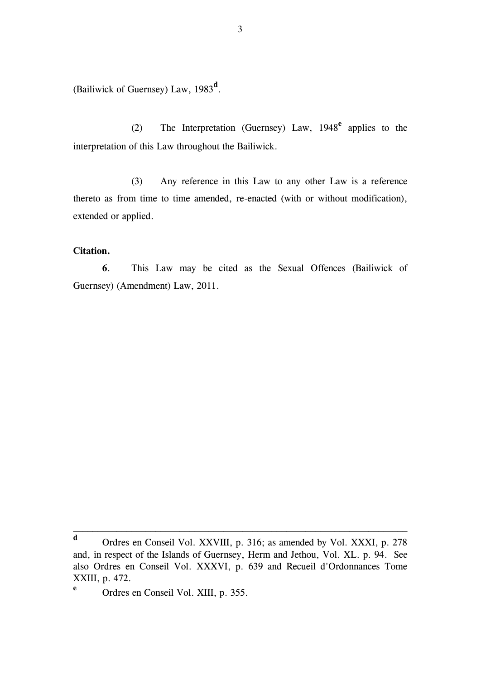(Bailiwick of Guernsey) Law, 1983**<sup>d</sup>** .

 (2) The Interpretation (Guernsey) Law, 1948**<sup>e</sup>** applies to the interpretation of this Law throughout the Bailiwick.

 (3) Any reference in this Law to any other Law is a reference thereto as from time to time amended, re-enacted (with or without modification), extended or applied.

#### **Citation.**

**e**

**6**. This Law may be cited as the Sexual Offences (Bailiwick of Guernsey) (Amendment) Law, 2011.

\_\_\_\_\_\_\_\_\_\_\_\_\_\_\_\_\_\_\_\_\_\_\_\_\_\_\_\_\_\_\_\_\_\_\_\_\_\_\_\_\_\_\_\_\_\_\_\_\_\_\_\_\_\_\_\_\_\_\_\_\_\_\_\_\_\_\_\_\_

Ordres en Conseil Vol. XIII, p. 355.

**d** Ordres en Conseil Vol. XXVIII, p. 316; as amended by Vol. XXXI, p. 278 and, in respect of the Islands of Guernsey, Herm and Jethou, Vol. XL. p. 94. See also Ordres en Conseil Vol. XXXVI, p. 639 and Recueil d'Ordonnances Tome XXIII, p. 472.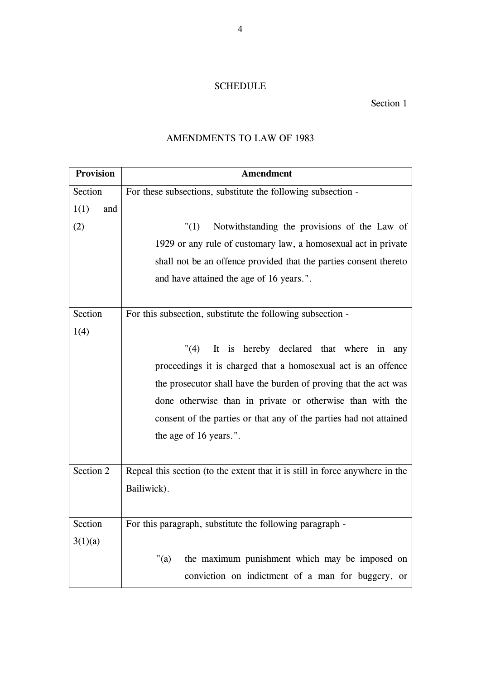### SCHEDULE

### Section 1

### AMENDMENTS TO LAW OF 1983

| <b>Provision</b> | <b>Amendment</b>                                                             |  |  |
|------------------|------------------------------------------------------------------------------|--|--|
| Section          | For these subsections, substitute the following subsection -                 |  |  |
| 1(1)<br>and      |                                                                              |  |  |
| (2)              | Notwithstanding the provisions of the Law of<br>"(1)                         |  |  |
|                  | 1929 or any rule of customary law, a homosexual act in private               |  |  |
|                  | shall not be an offence provided that the parties consent thereto            |  |  |
|                  | and have attained the age of 16 years.".                                     |  |  |
|                  |                                                                              |  |  |
| Section          | For this subsection, substitute the following subsection -                   |  |  |
| 1(4)             |                                                                              |  |  |
|                  | "(4)<br>It is hereby declared that where in<br>any                           |  |  |
|                  | proceedings it is charged that a homosexual act is an offence                |  |  |
|                  | the prosecutor shall have the burden of proving that the act was             |  |  |
|                  | done otherwise than in private or otherwise than with the                    |  |  |
|                  | consent of the parties or that any of the parties had not attained           |  |  |
|                  | the age of 16 years.".                                                       |  |  |
|                  |                                                                              |  |  |
| Section 2        | Repeal this section (to the extent that it is still in force anywhere in the |  |  |
|                  | Bailiwick).                                                                  |  |  |
|                  |                                                                              |  |  |
| Section          | For this paragraph, substitute the following paragraph -                     |  |  |
| 3(1)(a)          |                                                                              |  |  |
|                  | " $(a)$<br>the maximum punishment which may be imposed on                    |  |  |
|                  | conviction on indictment of a man for buggery, or                            |  |  |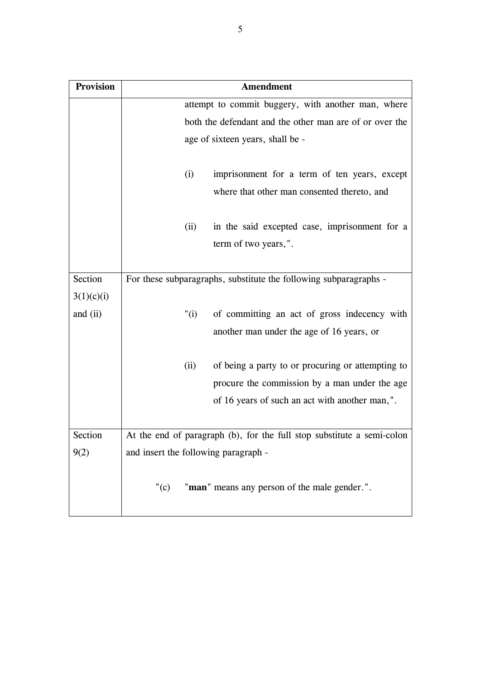| <b>Provision</b> | <b>Amendment</b>                                                       |  |  |  |  |
|------------------|------------------------------------------------------------------------|--|--|--|--|
|                  | attempt to commit buggery, with another man, where                     |  |  |  |  |
|                  | both the defendant and the other man are of or over the                |  |  |  |  |
|                  | age of sixteen years, shall be -                                       |  |  |  |  |
|                  | imprisonment for a term of ten years, except<br>(i)                    |  |  |  |  |
|                  | where that other man consented thereto, and                            |  |  |  |  |
|                  | in the said excepted case, imprisonment for a<br>(ii)                  |  |  |  |  |
|                  | term of two years,".                                                   |  |  |  |  |
| Section          |                                                                        |  |  |  |  |
|                  | For these subparagraphs, substitute the following subparagraphs -      |  |  |  |  |
| 3(1)(c)(i)       |                                                                        |  |  |  |  |
| and (ii)         | of committing an act of gross indecency with<br>"(i)                   |  |  |  |  |
|                  | another man under the age of 16 years, or                              |  |  |  |  |
|                  | of being a party to or procuring or attempting to<br>(ii)              |  |  |  |  |
|                  | procure the commission by a man under the age                          |  |  |  |  |
|                  | of 16 years of such an act with another man,".                         |  |  |  |  |
|                  |                                                                        |  |  |  |  |
| Section          | At the end of paragraph (b), for the full stop substitute a semi-colon |  |  |  |  |
| 9(2)             | and insert the following paragraph -                                   |  |  |  |  |
|                  | "man" means any person of the male gender.".<br>" $(c)$                |  |  |  |  |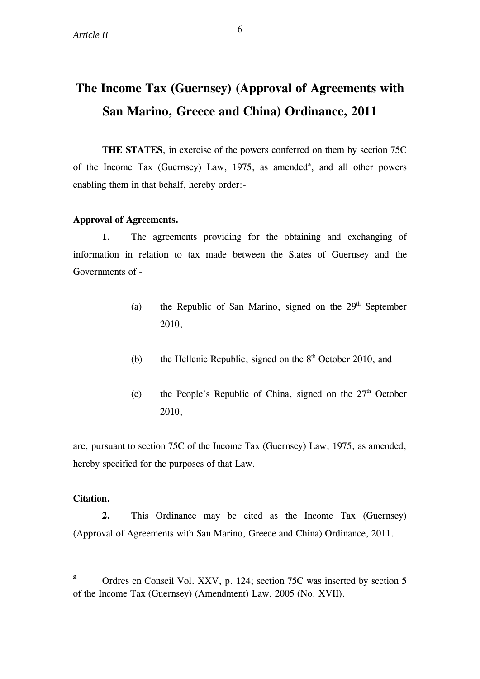# **The Income Tax (Guernsey) (Approval of Agreements with San Marino, Greece and China) Ordinance, 2011**

**THE STATES**, in exercise of the powers conferred on them by section 75C of the Income Tax (Guernsey) Law, 1975, as amended<sup>a</sup>, and all other powers enabling them in that behalf, hereby order:-

#### **Approval of Agreements.**

 **1.** The agreements providing for the obtaining and exchanging of information in relation to tax made between the States of Guernsey and the Governments of -

- (a) the Republic of San Marino, signed on the  $29<sup>th</sup>$  September 2010,
- (b) the Hellenic Republic, signed on the  $8<sup>th</sup>$  October 2010, and
- (c) the People's Republic of China, signed on the  $27<sup>th</sup>$  October 2010,

are, pursuant to section 75C of the Income Tax (Guernsey) Law, 1975, as amended, hereby specified for the purposes of that Law.

#### **Citation.**

**2.** This Ordinance may be cited as the Income Tax (Guernsey) (Approval of Agreements with San Marino, Greece and China) Ordinance, 2011.

**a** Ordres en Conseil Vol. XXV, p. 124; section 75C was inserted by section 5 of the Income Tax (Guernsey) (Amendment) Law, 2005 (No. XVII).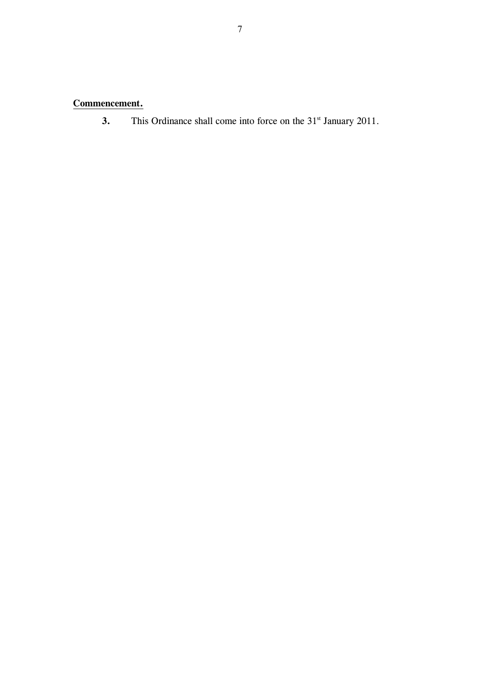## **Commencement.**

**3.** This Ordinance shall come into force on the 31<sup>st</sup> January 2011.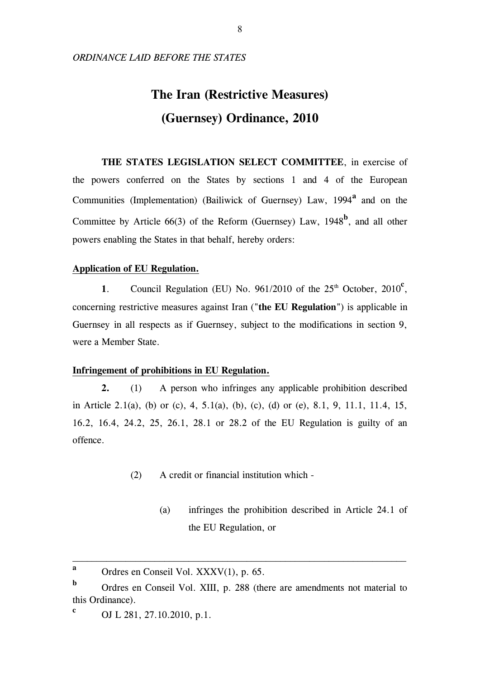#### *ORDINANCE LAID BEFORE THE STATES*

# **The Iran (Restrictive Measures) (Guernsey) Ordinance, 2010**

 **THE STATES LEGISLATION SELECT COMMITTEE**, in exercise of the powers conferred on the States by sections 1 and 4 of the European Communities (Implementation) (Bailiwick of Guernsey) Law, 1994<sup>a</sup> and on the Committee by Article  $66(3)$  of the Reform (Guernsey) Law,  $1948^b$ , and all other powers enabling the States in that behalf, hereby orders:

#### **Application of EU Regulation.**

1. Council Regulation (EU) No.  $961/2010$  of the  $25<sup>th</sup>$  October,  $2010<sup>c</sup>$ , concerning restrictive measures against Iran ("**the EU Regulation**") is applicable in Guernsey in all respects as if Guernsey, subject to the modifications in section 9, were a Member State.

#### **Infringement of prohibitions in EU Regulation.**

**2.** (1) A person who infringes any applicable prohibition described in Article 2.1(a), (b) or (c), 4, 5.1(a), (b), (c), (d) or (e), 8.1, 9, 11.1, 11.4, 15, 16.2, 16.4, 24.2, 25, 26.1, 28.1 or 28.2 of the EU Regulation is guilty of an offence.

- (2) A credit or financial institution which
	- (a) infringes the prohibition described in Article 24.1 of the EU Regulation, or

\_\_\_\_\_\_\_\_\_\_\_\_\_\_\_\_\_\_\_\_\_\_\_\_\_\_\_\_\_\_\_\_\_\_\_\_\_\_\_\_\_\_\_\_\_\_\_\_\_\_\_\_\_\_\_\_\_\_\_\_\_\_\_\_\_\_\_\_\_

**a** Ordres en Conseil Vol. XXXV(1), p. 65.

**b** Ordres en Conseil Vol. XIII, p. 288 (there are amendments not material to this Ordinance).

**c** OJ L 281, 27.10.2010, p.1.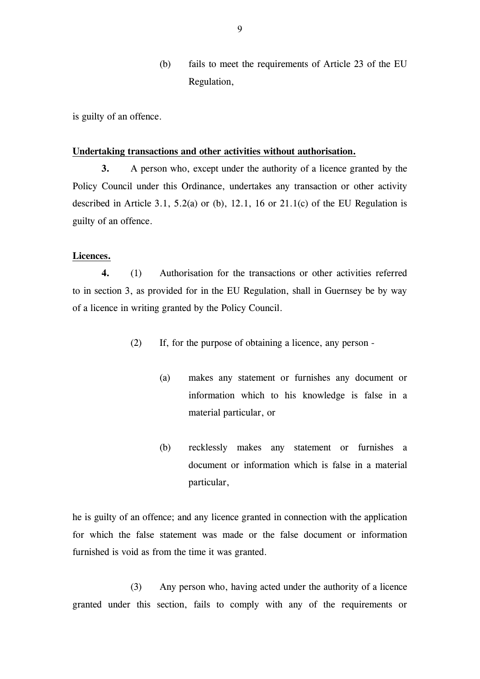(b) fails to meet the requirements of Article 23 of the EU Regulation,

is guilty of an offence.

#### **Undertaking transactions and other activities without authorisation.**

**3.** A person who, except under the authority of a licence granted by the Policy Council under this Ordinance, undertakes any transaction or other activity described in Article 3.1, 5.2(a) or (b), 12.1, 16 or 21.1(c) of the EU Regulation is guilty of an offence.

#### **Licences.**

**4.** (1) Authorisation for the transactions or other activities referred to in section 3, as provided for in the EU Regulation, shall in Guernsey be by way of a licence in writing granted by the Policy Council.

- (2) If, for the purpose of obtaining a licence, any person
	- (a) makes any statement or furnishes any document or information which to his knowledge is false in a material particular, or
	- (b) recklessly makes any statement or furnishes a document or information which is false in a material particular,

he is guilty of an offence; and any licence granted in connection with the application for which the false statement was made or the false document or information furnished is void as from the time it was granted.

 (3) Any person who, having acted under the authority of a licence granted under this section, fails to comply with any of the requirements or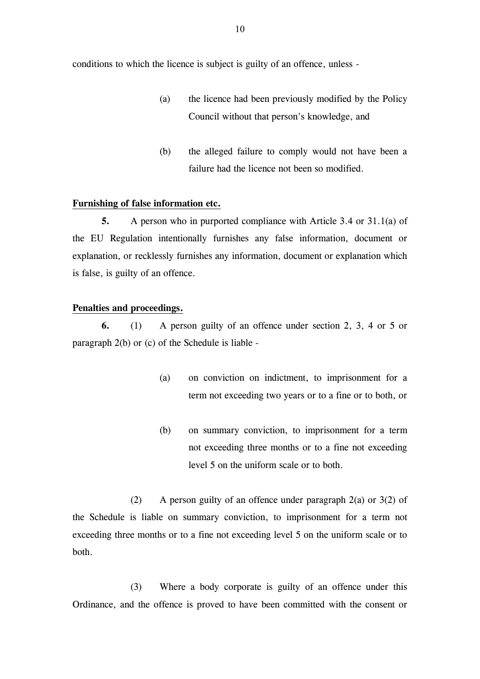conditions to which the licence is subject is guilty of an offence, unless -

- (a) the licence had been previously modified by the Policy Council without that person's knowledge, and
- (b) the alleged failure to comply would not have been a failure had the licence not been so modified.

#### **Furnishing of false information etc.**

**5.** A person who in purported compliance with Article 3.4 or 31.1(a) of the EU Regulation intentionally furnishes any false information, document or explanation, or recklessly furnishes any information, document or explanation which is false, is guilty of an offence.

#### **Penalties and proceedings.**

**6.** (1) A person guilty of an offence under section 2, 3, 4 or 5 or paragraph 2(b) or (c) of the Schedule is liable -

- (a) on conviction on indictment, to imprisonment for a term not exceeding two years or to a fine or to both, or
- (b) on summary conviction, to imprisonment for a term not exceeding three months or to a fine not exceeding level 5 on the uniform scale or to both.

 (2) A person guilty of an offence under paragraph 2(a) or 3(2) of the Schedule is liable on summary conviction, to imprisonment for a term not exceeding three months or to a fine not exceeding level 5 on the uniform scale or to both.

 (3) Where a body corporate is guilty of an offence under this Ordinance, and the offence is proved to have been committed with the consent or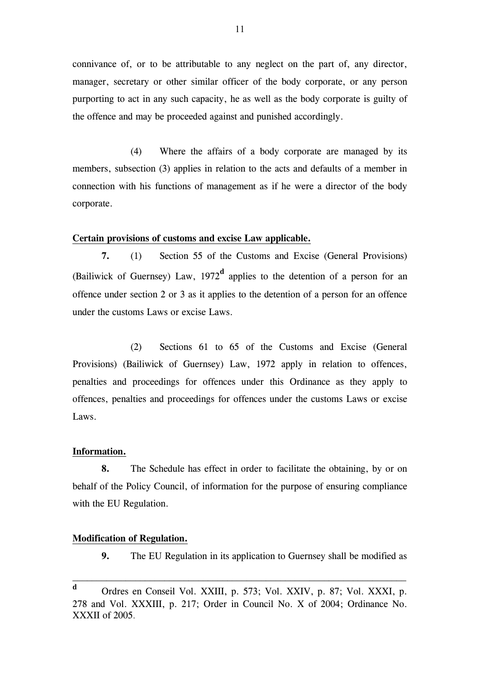connivance of, or to be attributable to any neglect on the part of, any director, manager, secretary or other similar officer of the body corporate, or any person purporting to act in any such capacity, he as well as the body corporate is guilty of the offence and may be proceeded against and punished accordingly.

 (4) Where the affairs of a body corporate are managed by its members, subsection (3) applies in relation to the acts and defaults of a member in connection with his functions of management as if he were a director of the body corporate.

#### **Certain provisions of customs and excise Law applicable.**

**7.** (1) Section 55 of the Customs and Excise (General Provisions) (Bailiwick of Guernsey) Law,  $1972<sup>d</sup>$  applies to the detention of a person for an offence under section 2 or 3 as it applies to the detention of a person for an offence under the customs Laws or excise Laws.

 (2) Sections 61 to 65 of the Customs and Excise (General Provisions) (Bailiwick of Guernsey) Law, 1972 apply in relation to offences, penalties and proceedings for offences under this Ordinance as they apply to offences, penalties and proceedings for offences under the customs Laws or excise Laws.

#### **Information.**

**8.** The Schedule has effect in order to facilitate the obtaining, by or on behalf of the Policy Council, of information for the purpose of ensuring compliance with the EU Regulation.

#### **Modification of Regulation.**

**9.** The EU Regulation in its application to Guernsey shall be modified as

\_\_\_\_\_\_\_\_\_\_\_\_\_\_\_\_\_\_\_\_\_\_\_\_\_\_\_\_\_\_\_\_\_\_\_\_\_\_\_\_\_\_\_\_\_\_\_\_\_\_\_\_\_\_\_\_\_\_\_\_\_\_\_\_\_\_\_\_\_

**d** Ordres en Conseil Vol. XXIII, p. 573; Vol. XXIV, p. 87; Vol. XXXI, p. 278 and Vol. XXXIII, p. 217; Order in Council No. X of 2004; Ordinance No. XXXII of 2005.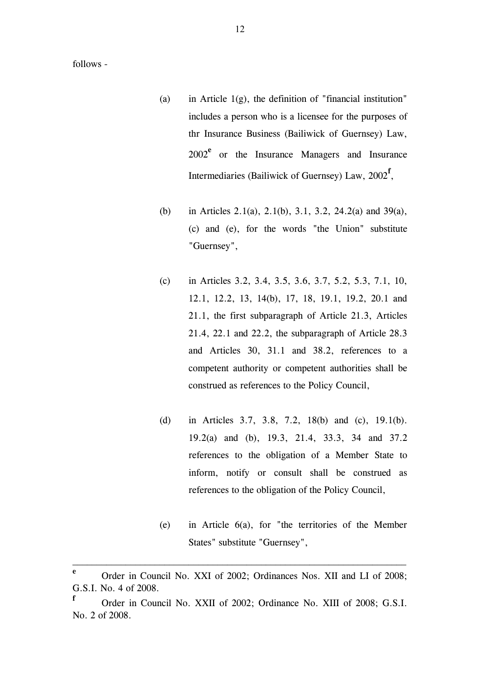follows -

- (a) in Article  $1(g)$ , the definition of "financial institution" includes a person who is a licensee for the purposes of thr Insurance Business (Bailiwick of Guernsey) Law, 2002**<sup>e</sup>** or the Insurance Managers and Insurance Intermediaries (Bailiwick of Guernsey) Law, 2002**<sup>f</sup>** ,
- (b) in Articles 2.1(a), 2.1(b), 3.1, 3.2, 24.2(a) and 39(a), (c) and (e), for the words "the Union" substitute "Guernsey",
- (c) in Articles 3.2, 3.4, 3.5, 3.6, 3.7, 5.2, 5.3, 7.1, 10, 12.1, 12.2, 13, 14(b), 17, 18, 19.1, 19.2, 20.1 and 21.1, the first subparagraph of Article 21.3, Articles 21.4, 22.1 and 22.2, the subparagraph of Article 28.3 and Articles 30, 31.1 and 38.2, references to a competent authority or competent authorities shall be construed as references to the Policy Council,
- (d) in Articles 3.7, 3.8, 7.2, 18(b) and (c), 19.1(b). 19.2(a) and (b), 19.3, 21.4, 33.3, 34 and 37.2 references to the obligation of a Member State to inform, notify or consult shall be construed as references to the obligation of the Policy Council,
- (e) in Article 6(a), for "the territories of the Member States" substitute "Guernsey",

\_\_\_\_\_\_\_\_\_\_\_\_\_\_\_\_\_\_\_\_\_\_\_\_\_\_\_\_\_\_\_\_\_\_\_\_\_\_\_\_\_\_\_\_\_\_\_\_\_\_\_\_\_\_\_\_\_\_\_\_\_\_\_\_\_\_\_\_\_

**e** Order in Council No. XXI of 2002; Ordinances Nos. XII and LI of 2008; G.S.I. No. 4 of 2008.

**f** Order in Council No. XXII of 2002; Ordinance No. XIII of 2008; G.S.I. No. 2 of 2008.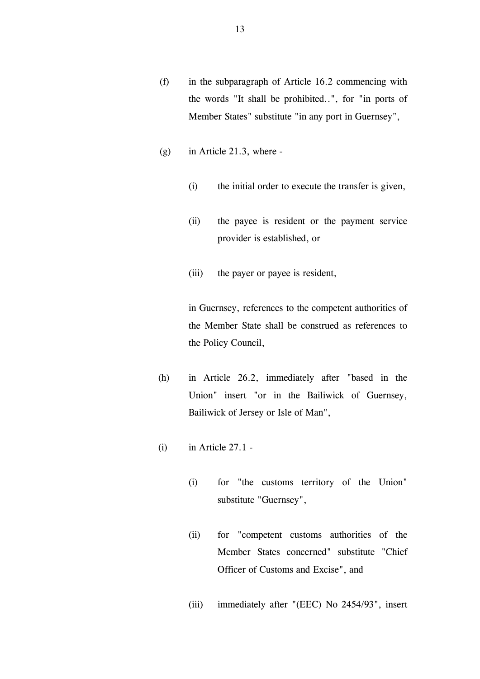- (f) in the subparagraph of Article 16.2 commencing with the words "It shall be prohibited..", for "in ports of Member States" substitute "in any port in Guernsey",
- (g) in Article 21.3, where
	- (i) the initial order to execute the transfer is given,
	- (ii) the payee is resident or the payment service provider is established, or
	- (iii) the payer or payee is resident,

in Guernsey, references to the competent authorities of the Member State shall be construed as references to the Policy Council,

- (h) in Article 26.2, immediately after "based in the Union" insert "or in the Bailiwick of Guernsey, Bailiwick of Jersey or Isle of Man",
- $(i)$  in Article 27.1 -
	- (i) for "the customs territory of the Union" substitute "Guernsey",
	- (ii) for "competent customs authorities of the Member States concerned" substitute "Chief Officer of Customs and Excise", and
	- (iii) immediately after "(EEC) No 2454/93", insert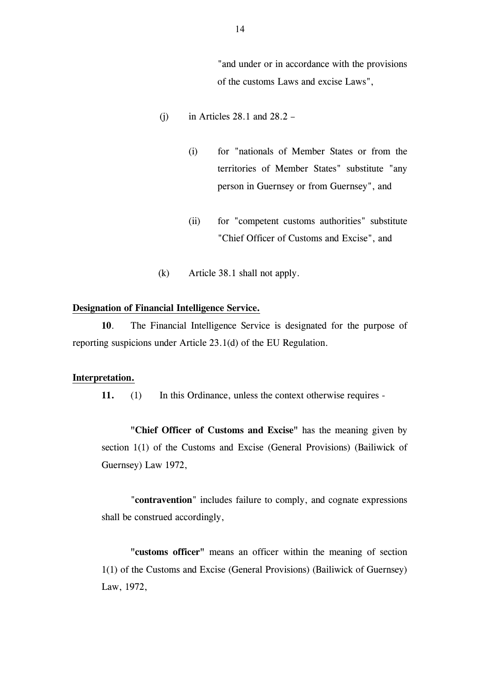"and under or in accordance with the provisions of the customs Laws and excise Laws",

- (i) in Articles  $28.1$  and  $28.2$ 
	- (i) for "nationals of Member States or from the territories of Member States" substitute "any person in Guernsey or from Guernsey", and
	- (ii) for "competent customs authorities" substitute "Chief Officer of Customs and Excise", and
- (k) Article 38.1 shall not apply.

#### **Designation of Financial Intelligence Service.**

**10**. The Financial Intelligence Service is designated for the purpose of reporting suspicions under Article 23.1(d) of the EU Regulation.

#### **Interpretation.**

**11.** (1) In this Ordinance, unless the context otherwise requires -

**"Chief Officer of Customs and Excise"** has the meaning given by section 1(1) of the Customs and Excise (General Provisions) (Bailiwick of Guernsey) Law 1972,

"**contravention**" includes failure to comply, and cognate expressions shall be construed accordingly,

**"customs officer"** means an officer within the meaning of section 1(1) of the Customs and Excise (General Provisions) (Bailiwick of Guernsey) Law, 1972,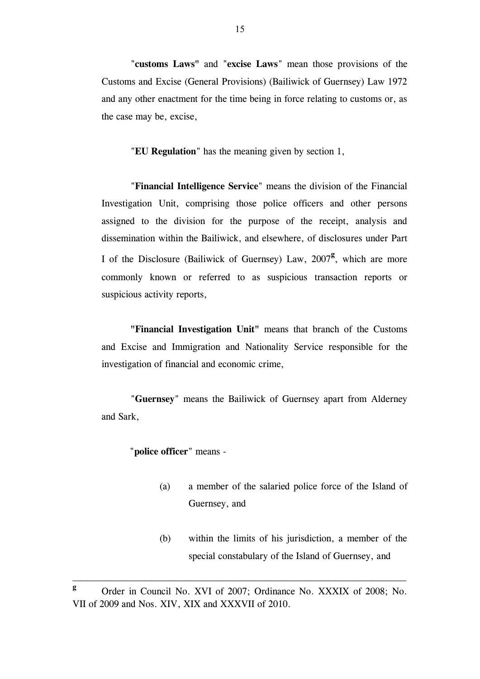"**customs Laws"** and "**excise Laws**" mean those provisions of the Customs and Excise (General Provisions) (Bailiwick of Guernsey) Law 1972 and any other enactment for the time being in force relating to customs or, as the case may be, excise,

"**EU Regulation**" has the meaning given by section 1,

"**Financial Intelligence Service**" means the division of the Financial Investigation Unit, comprising those police officers and other persons assigned to the division for the purpose of the receipt, analysis and dissemination within the Bailiwick, and elsewhere, of disclosures under Part I of the Disclosure (Bailiwick of Guernsey) Law, 2007**<sup>g</sup>** , which are more commonly known or referred to as suspicious transaction reports or suspicious activity reports,

**"Financial Investigation Unit"** means that branch of the Customs and Excise and Immigration and Nationality Service responsible for the investigation of financial and economic crime,

"**Guernsey**" means the Bailiwick of Guernsey apart from Alderney and Sark,

#### "**police officer**" means -

- (a) a member of the salaried police force of the Island of Guernsey, and
- (b) within the limits of his jurisdiction, a member of the special constabulary of the Island of Guernsey, and

\_\_\_\_\_\_\_\_\_\_\_\_\_\_\_\_\_\_\_\_\_\_\_\_\_\_\_\_\_\_\_\_\_\_\_\_\_\_\_\_\_\_\_\_\_\_\_\_\_\_\_\_\_\_\_\_\_\_\_\_\_\_\_\_\_\_\_\_\_

**g** Order in Council No. XVI of 2007; Ordinance No. XXXIX of 2008; No. VII of 2009 and Nos. XIV, XIX and XXXVII of 2010.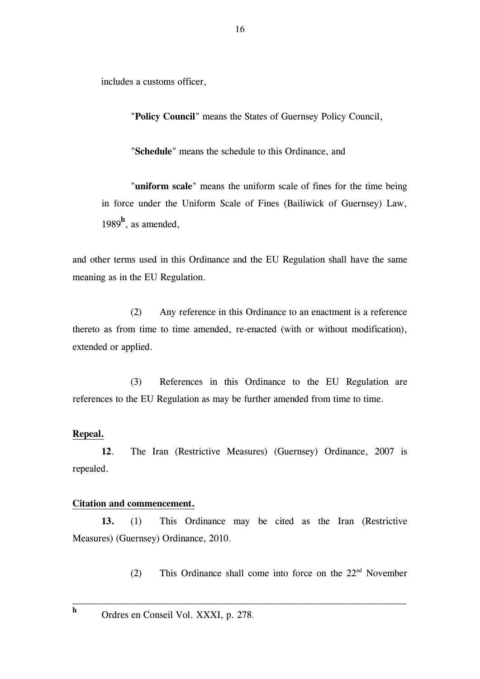includes a customs officer,

"**Policy Council**" means the States of Guernsey Policy Council,

"**Schedule**" means the schedule to this Ordinance, and

"**uniform scale**" means the uniform scale of fines for the time being in force under the Uniform Scale of Fines (Bailiwick of Guernsey) Law, 1989**<sup>h</sup>** , as amended,

and other terms used in this Ordinance and the EU Regulation shall have the same meaning as in the EU Regulation.

 (2) Any reference in this Ordinance to an enactment is a reference thereto as from time to time amended, re-enacted (with or without modification), extended or applied.

(3) References in this Ordinance to the EU Regulation are references to the EU Regulation as may be further amended from time to time.

#### **Repeal.**

**h**

**12**. The Iran (Restrictive Measures) (Guernsey) Ordinance, 2007 is repealed.

#### **Citation and commencement.**

**13.** (1) This Ordinance may be cited as the Iran (Restrictive Measures) (Guernsey) Ordinance, 2010.

\_\_\_\_\_\_\_\_\_\_\_\_\_\_\_\_\_\_\_\_\_\_\_\_\_\_\_\_\_\_\_\_\_\_\_\_\_\_\_\_\_\_\_\_\_\_\_\_\_\_\_\_\_\_\_\_\_\_\_\_\_\_\_\_\_\_\_\_\_

(2) This Ordinance shall come into force on the  $22<sup>nd</sup>$  November

Ordres en Conseil Vol. XXXI, p. 278.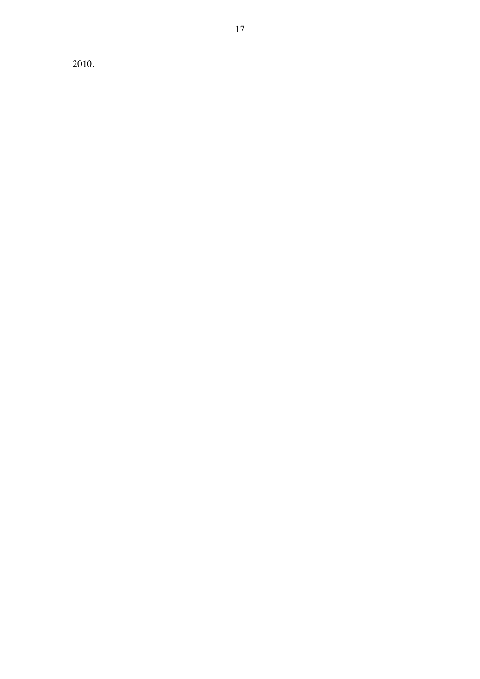2010.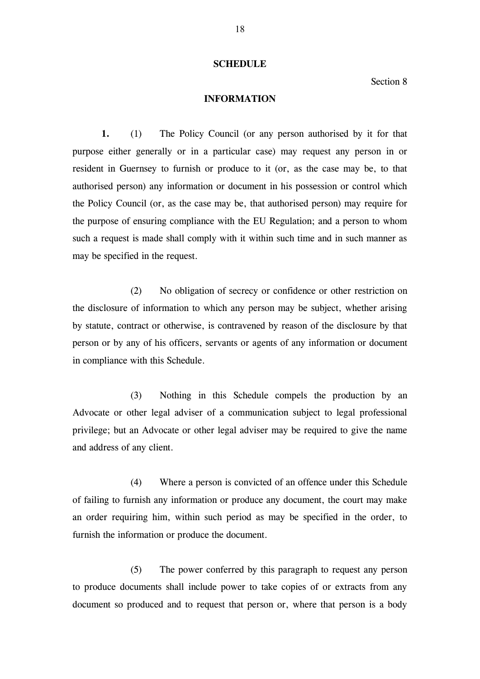#### **SCHEDULE**

Section 8

#### **INFORMATION**

**1.** (1) The Policy Council (or any person authorised by it for that purpose either generally or in a particular case) may request any person in or resident in Guernsey to furnish or produce to it (or, as the case may be, to that authorised person) any information or document in his possession or control which the Policy Council (or, as the case may be, that authorised person) may require for the purpose of ensuring compliance with the EU Regulation; and a person to whom such a request is made shall comply with it within such time and in such manner as may be specified in the request.

 (2) No obligation of secrecy or confidence or other restriction on the disclosure of information to which any person may be subject, whether arising by statute, contract or otherwise, is contravened by reason of the disclosure by that person or by any of his officers, servants or agents of any information or document in compliance with this Schedule.

 (3) Nothing in this Schedule compels the production by an Advocate or other legal adviser of a communication subject to legal professional privilege; but an Advocate or other legal adviser may be required to give the name and address of any client.

 (4) Where a person is convicted of an offence under this Schedule of failing to furnish any information or produce any document, the court may make an order requiring him, within such period as may be specified in the order, to furnish the information or produce the document.

 (5) The power conferred by this paragraph to request any person to produce documents shall include power to take copies of or extracts from any document so produced and to request that person or, where that person is a body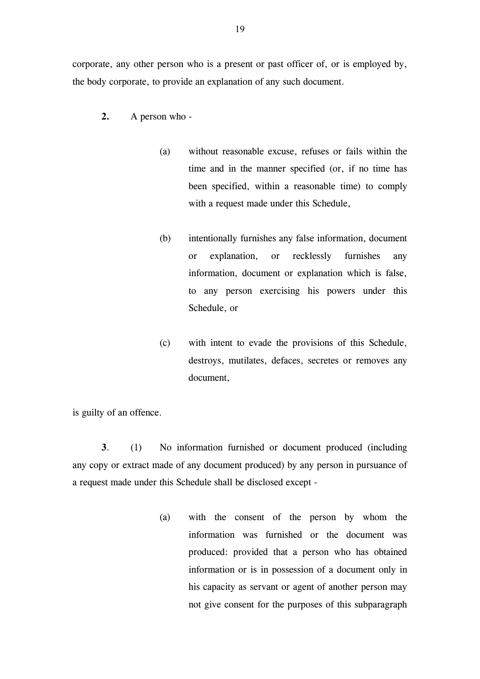corporate, any other person who is a present or past officer of, or is employed by, the body corporate, to provide an explanation of any such document.

- **2.** A person who
	- (a) without reasonable excuse, refuses or fails within the time and in the manner specified (or, if no time has been specified, within a reasonable time) to comply with a request made under this Schedule,
	- (b) intentionally furnishes any false information, document or explanation, or recklessly furnishes any information, document or explanation which is false, to any person exercising his powers under this Schedule, or
	- (c) with intent to evade the provisions of this Schedule, destroys, mutilates, defaces, secretes or removes any document,

is guilty of an offence.

 **3**. (1) No information furnished or document produced (including any copy or extract made of any document produced) by any person in pursuance of a request made under this Schedule shall be disclosed except -

> (a) with the consent of the person by whom the information was furnished or the document was produced: provided that a person who has obtained information or is in possession of a document only in his capacity as servant or agent of another person may not give consent for the purposes of this subparagraph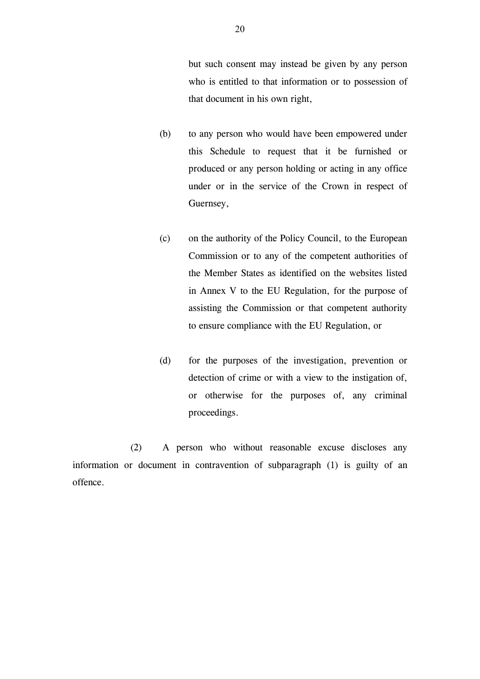but such consent may instead be given by any person who is entitled to that information or to possession of that document in his own right,

- (b) to any person who would have been empowered under this Schedule to request that it be furnished or produced or any person holding or acting in any office under or in the service of the Crown in respect of Guernsey,
- (c) on the authority of the Policy Council, to the European Commission or to any of the competent authorities of the Member States as identified on the websites listed in Annex V to the EU Regulation, for the purpose of assisting the Commission or that competent authority to ensure compliance with the EU Regulation, or
- (d) for the purposes of the investigation, prevention or detection of crime or with a view to the instigation of, or otherwise for the purposes of, any criminal proceedings.

 (2) A person who without reasonable excuse discloses any information or document in contravention of subparagraph (1) is guilty of an offence.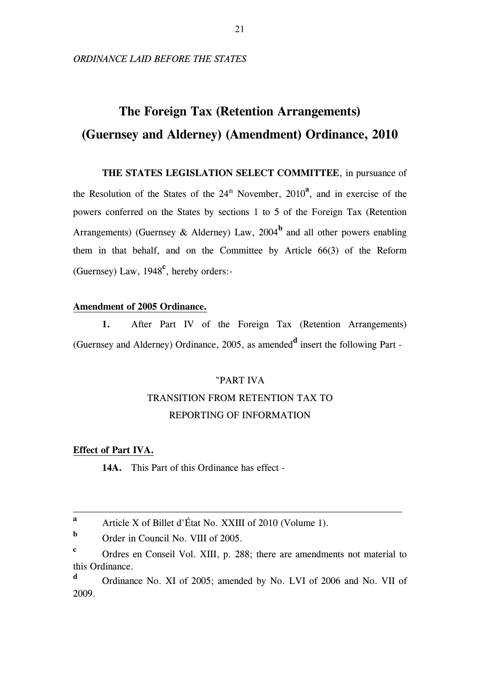# **The Foreign Tax (Retention Arrangements) (Guernsey and Alderney) (Amendment) Ordinance, 2010**

**THE STATES LEGISLATION SELECT COMMITTEE**, in pursuance of the Resolution of the States of the  $24<sup>th</sup>$  November,  $2010<sup>a</sup>$ , and in exercise of the powers conferred on the States by sections 1 to 5 of the Foreign Tax (Retention Arrangements) (Guernsey & Alderney) Law,  $2004^{\rm b}$  and all other powers enabling them in that behalf, and on the Committee by Article 66(3) of the Reform (Guernsey) Law, 1948**<sup>c</sup>** , hereby orders:-

#### **Amendment of 2005 Ordinance.**

**1.** After Part IV of the Foreign Tax (Retention Arrangements) (Guernsey and Alderney) Ordinance, 2005, as amended**<sup>d</sup>** insert the following Part -

# "PART IVA TRANSITION FROM RETENTION TAX TO REPORTING OF INFORMATION

#### **Effect of Part IVA.**

 **14A.** This Part of this Ordinance has effect -

\_\_\_\_\_\_\_\_\_\_\_\_\_\_\_\_\_\_\_\_\_\_\_\_\_\_\_\_\_\_\_\_\_\_\_\_\_\_\_\_\_\_\_\_\_\_\_\_\_\_\_\_\_\_\_\_\_\_\_\_\_\_\_\_\_\_\_\_

**a** Article X of Billet d'État No. XXIII of 2010 (Volume 1).

**b** Order in Council No. VIII of 2005.

**c** Ordres en Conseil Vol. XIII, p. 288; there are amendments not material to this Ordinance.

**d** Ordinance No. XI of 2005; amended by No. LVI of 2006 and No. VII of 2009.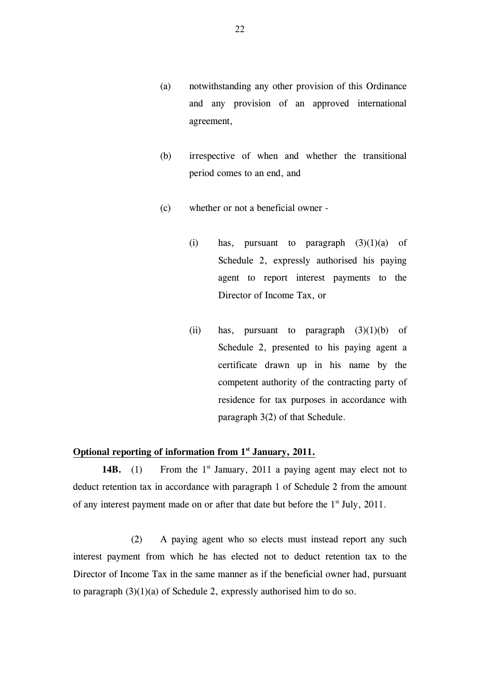- (a) notwithstanding any other provision of this Ordinance and any provision of an approved international agreement,
- (b) irrespective of when and whether the transitional period comes to an end, and
- (c) whether or not a beneficial owner
	- (i) has, pursuant to paragraph  $(3)(1)(a)$  of Schedule 2, expressly authorised his paying agent to report interest payments to the Director of Income Tax, or
	- (ii) has, pursuant to paragraph  $(3)(1)(b)$  of Schedule 2, presented to his paying agent a certificate drawn up in his name by the competent authority of the contracting party of residence for tax purposes in accordance with paragraph 3(2) of that Schedule.

#### **Optional reporting of information from 1st January, 2011.**

**14B.** (1) From the 1<sup>st</sup> January, 2011 a paying agent may elect not to deduct retention tax in accordance with paragraph 1 of Schedule 2 from the amount of any interest payment made on or after that date but before the 1<sup>st</sup> July, 2011.

 (2) A paying agent who so elects must instead report any such interest payment from which he has elected not to deduct retention tax to the Director of Income Tax in the same manner as if the beneficial owner had, pursuant to paragraph  $(3)(1)(a)$  of Schedule 2, expressly authorised him to do so.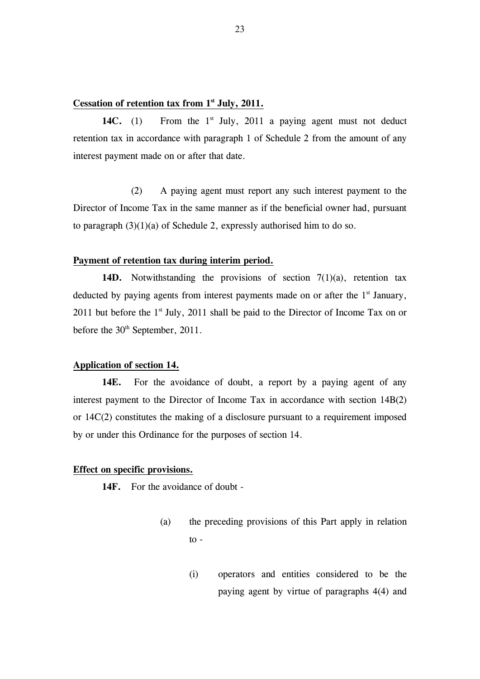#### **Cessation of retention tax from 1st July, 2011.**

14C. (1) From the  $1<sup>st</sup>$  July, 2011 a paying agent must not deduct retention tax in accordance with paragraph 1 of Schedule 2 from the amount of any interest payment made on or after that date.

 (2) A paying agent must report any such interest payment to the Director of Income Tax in the same manner as if the beneficial owner had, pursuant to paragraph (3)(1)(a) of Schedule 2, expressly authorised him to do so.

#### **Payment of retention tax during interim period.**

14D. Notwithstanding the provisions of section 7(1)(a), retention tax deducted by paying agents from interest payments made on or after the  $1<sup>st</sup>$  January, 2011 but before the  $1<sup>st</sup>$  July, 2011 shall be paid to the Director of Income Tax on or before the 30<sup>th</sup> September, 2011.

#### **Application of section 14.**

14E. For the avoidance of doubt, a report by a paying agent of any interest payment to the Director of Income Tax in accordance with section 14B(2) or 14C(2) constitutes the making of a disclosure pursuant to a requirement imposed by or under this Ordinance for the purposes of section 14.

#### **Effect on specific provisions.**

**14F.** For the avoidance of doubt -

- (a) the preceding provisions of this Part apply in relation  $to -$ 
	- (i) operators and entities considered to be the paying agent by virtue of paragraphs 4(4) and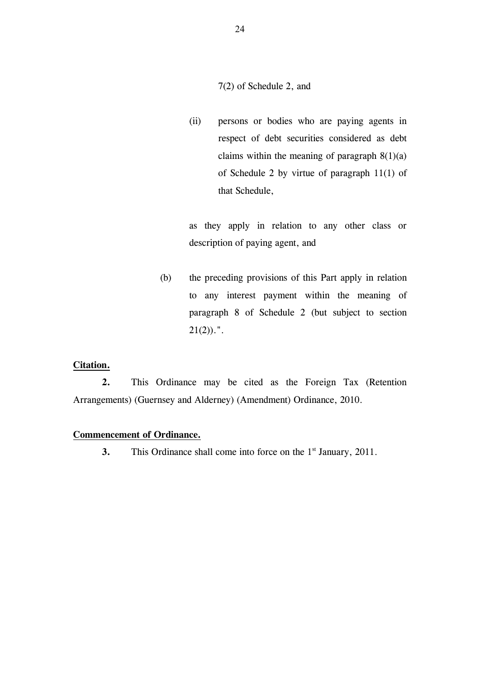7(2) of Schedule 2, and

(ii) persons or bodies who are paying agents in respect of debt securities considered as debt claims within the meaning of paragraph  $8(1)(a)$ of Schedule 2 by virtue of paragraph 11(1) of that Schedule,

as they apply in relation to any other class or description of paying agent, and

(b) the preceding provisions of this Part apply in relation to any interest payment within the meaning of paragraph 8 of Schedule 2 (but subject to section  $21(2)$ ).".

#### **Citation.**

 **2.** This Ordinance may be cited as the Foreign Tax (Retention Arrangements) (Guernsey and Alderney) (Amendment) Ordinance, 2010.

#### **Commencement of Ordinance.**

**3.** This Ordinance shall come into force on the 1<sup>st</sup> January, 2011.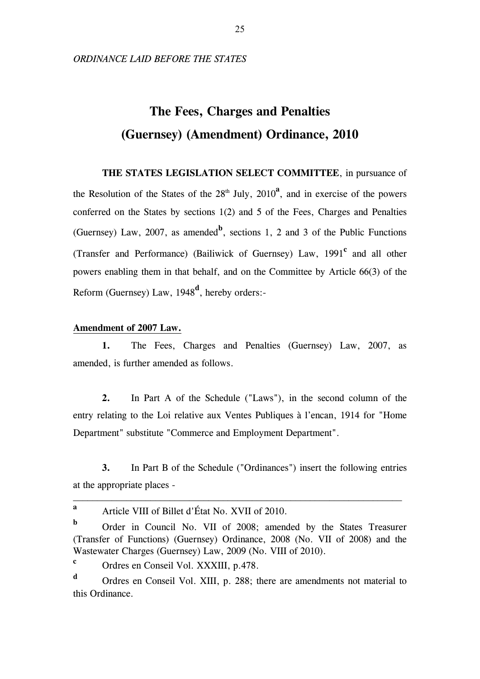*ORDINANCE LAID BEFORE THE STATES* 

# **The Fees, Charges and Penalties (Guernsey) (Amendment) Ordinance, 2010**

**THE STATES LEGISLATION SELECT COMMITTEE**, in pursuance of the Resolution of the States of the  $28<sup>th</sup>$  July,  $2010<sup>2</sup>$ , and in exercise of the powers conferred on the States by sections 1(2) and 5 of the Fees, Charges and Penalties (Guernsey) Law, 2007, as amended<sup>b</sup>, sections 1, 2 and 3 of the Public Functions (Transfer and Performance) (Bailiwick of Guernsey) Law, 1991**<sup>c</sup>** and all other powers enabling them in that behalf, and on the Committee by Article 66(3) of the Reform (Guernsey) Law, 1948**<sup>d</sup>** , hereby orders:-

#### **Amendment of 2007 Law.**

**1.** The Fees, Charges and Penalties (Guernsey) Law, 2007, as amended, is further amended as follows.

**2.** In Part A of the Schedule ("Laws"), in the second column of the entry relating to the Loi relative aux Ventes Publiques à l'encan, 1914 for "Home Department" substitute "Commerce and Employment Department".

**3.** In Part B of the Schedule ("Ordinances") insert the following entries at the appropriate places -

\_\_\_\_\_\_\_\_\_\_\_\_\_\_\_\_\_\_\_\_\_\_\_\_\_\_\_\_\_\_\_\_\_\_\_\_\_\_\_\_\_\_\_\_\_\_\_\_\_\_\_\_\_\_\_\_\_\_\_\_\_\_\_\_\_\_\_\_

**c** Ordres en Conseil Vol. XXXIII, p.478.

**d** Ordres en Conseil Vol. XIII, p. 288; there are amendments not material to this Ordinance.

**a** Article VIII of Billet d'État No. XVII of 2010.

**b** Order in Council No. VII of 2008; amended by the States Treasurer (Transfer of Functions) (Guernsey) Ordinance, 2008 (No. VII of 2008) and the Wastewater Charges (Guernsey) Law, 2009 (No. VIII of 2010).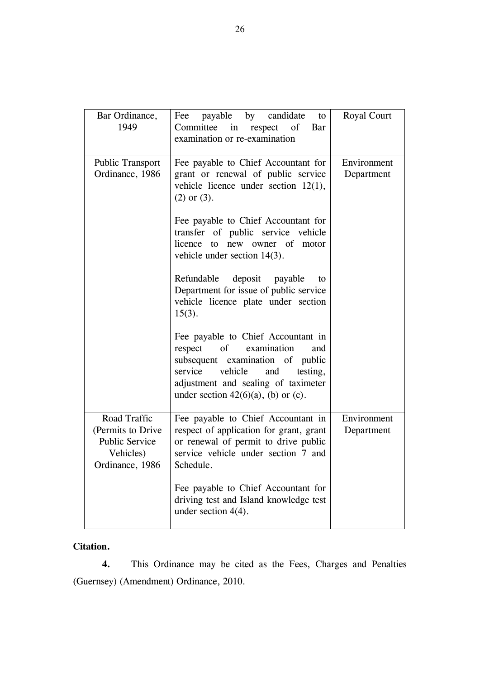| Bar Ordinance,<br>1949                                                                      | payable by candidate<br>Fee<br>to<br>Committee<br>in<br>respect<br>of<br>Bar<br>examination or re-examination                                                                                                                                 | Royal Court               |
|---------------------------------------------------------------------------------------------|-----------------------------------------------------------------------------------------------------------------------------------------------------------------------------------------------------------------------------------------------|---------------------------|
| <b>Public Transport</b><br>Ordinance, 1986                                                  | Fee payable to Chief Accountant for<br>grant or renewal of public service<br>vehicle licence under section $12(1)$ ,<br>$(2)$ or $(3)$ .                                                                                                      | Environment<br>Department |
|                                                                                             | Fee payable to Chief Accountant for<br>transfer of public service vehicle<br>licence<br>new owner of<br>to<br>motor<br>vehicle under section $14(3)$ .                                                                                        |                           |
|                                                                                             | Refundable<br>deposit<br>payable<br>to<br>Department for issue of public service<br>vehicle licence plate under section<br>$15(3)$ .                                                                                                          |                           |
|                                                                                             | Fee payable to Chief Accountant in<br>examination<br>respect<br>$\sigma$<br>and<br>subsequent examination of public<br>service<br>vehicle<br>and<br>testing,<br>adjustment and sealing of taximeter<br>under section $42(6)(a)$ , (b) or (c). |                           |
| Road Traffic<br>(Permits to Drive)<br><b>Public Service</b><br>Vehicles)<br>Ordinance, 1986 | Fee payable to Chief Accountant in<br>respect of application for grant, grant<br>or renewal of permit to drive public<br>service vehicle under section 7 and<br>Schedule.                                                                     | Environment<br>Department |
|                                                                                             | Fee payable to Chief Accountant for<br>driving test and Island knowledge test<br>under section $4(4)$ .                                                                                                                                       |                           |

## **Citation.**

 **4.** This Ordinance may be cited as the Fees, Charges and Penalties (Guernsey) (Amendment) Ordinance, 2010.